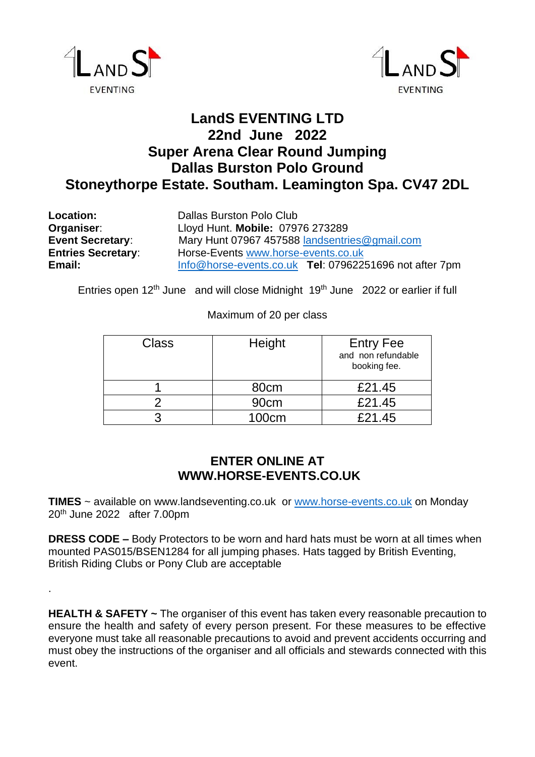

.



## **LandS EVENTING LTD 22nd June 2022 Super Arena Clear Round Jumping Dallas Burston Polo Ground Stoneythorpe Estate. Southam. Leamington Spa. CV47 2DL**

| Location:<br>Organiser:   | Dallas Burston Polo Club<br>Lloyd Hunt. Mobile: 07976 273289 |  |  |
|---------------------------|--------------------------------------------------------------|--|--|
| <b>Event Secretary:</b>   | Mary Hunt 07967 457588 landsentries@gmail.com                |  |  |
| <b>Entries Secretary:</b> | Horse-Events www.horse-events.co.uk                          |  |  |
| Email:                    | Info@horse-events.co.uk Tel: 07962251696 not after 7pm       |  |  |

Entries open 12<sup>th</sup> June and will close Midnight 19<sup>th</sup> June 2022 or earlier if full

## Maximum of 20 per class

| Class | Height           | <b>Entry Fee</b><br>and non refundable<br>booking fee. |
|-------|------------------|--------------------------------------------------------|
|       | 80cm             | £21.45                                                 |
|       | 90 <sub>cm</sub> | £21.45                                                 |
| າ     | 100cm            | £21.45                                                 |

## **ENTER ONLINE AT WWW.HORSE-EVENTS.CO.UK**

**TIMES** ~ available on www.landseventing.co.uk or [www.horse-events.co.uk](http://www.horse-events.co.uk/) on Monday 20th June 2022 after 7.00pm

**DRESS CODE –** Body Protectors to be worn and hard hats must be worn at all times when mounted PAS015/BSEN1284 for all jumping phases. Hats tagged by British Eventing, British Riding Clubs or Pony Club are acceptable

**HEALTH & SAFETY ~** The organiser of this event has taken every reasonable precaution to ensure the health and safety of every person present. For these measures to be effective everyone must take all reasonable precautions to avoid and prevent accidents occurring and must obey the instructions of the organiser and all officials and stewards connected with this event.